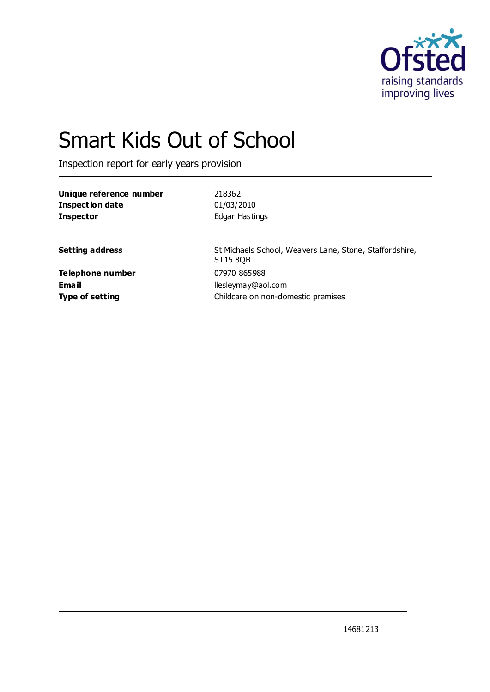

# Smart Kids Out of School

Inspection report for early years provision

| Unique reference number | 218362         |
|-------------------------|----------------|
| Inspection date         | 01/03/2010     |
| <b>Inspector</b>        | Edgar Hastings |
|                         |                |

**Setting address** St Michaels School, Weavers Lane, Stone, Staffordshire, ST15 8QB **Type of setting Childcare on non-domestic premises** 

**Telephone number** 07970 865988 **Email** llesleymay@aol.com

14681213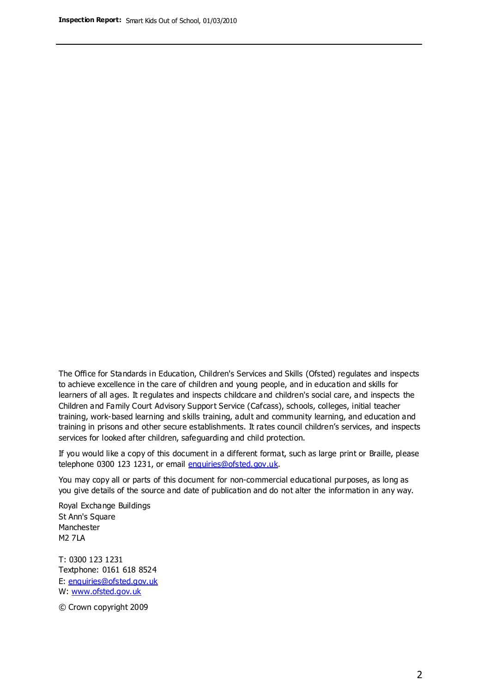The Office for Standards in Education, Children's Services and Skills (Ofsted) regulates and inspects to achieve excellence in the care of children and young people, and in education and skills for learners of all ages. It regulates and inspects childcare and children's social care, and inspects the Children and Family Court Advisory Support Service (Cafcass), schools, colleges, initial teacher training, work-based learning and skills training, adult and community learning, and education and training in prisons and other secure establishments. It rates council children's services, and inspects services for looked after children, safeguarding and child protection.

If you would like a copy of this document in a different format, such as large print or Braille, please telephone 0300 123 1231, or email enquiries@ofsted.gov.uk.

You may copy all or parts of this document for non-commercial educational purposes, as long as you give details of the source and date of publication and do not alter the information in any way.

Royal Exchange Buildings St Ann's Square Manchester M2 7LA

T: 0300 123 1231 Textphone: 0161 618 8524 E: enquiries@ofsted.gov.uk W: [www.ofsted.gov.uk](http://www.ofsted.gov.uk/)

© Crown copyright 2009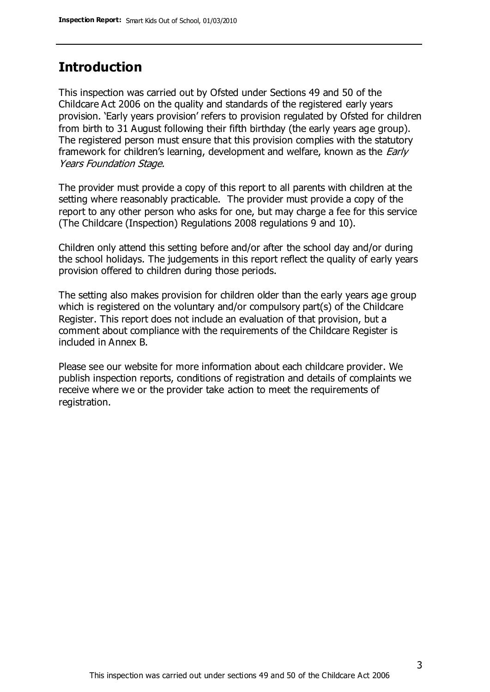#### **Introduction**

This inspection was carried out by Ofsted under Sections 49 and 50 of the Childcare Act 2006 on the quality and standards of the registered early years provision. 'Early years provision' refers to provision regulated by Ofsted for children from birth to 31 August following their fifth birthday (the early years age group). The registered person must ensure that this provision complies with the statutory framework for children's learning, development and welfare, known as the *Early* Years Foundation Stage.

The provider must provide a copy of this report to all parents with children at the setting where reasonably practicable. The provider must provide a copy of the report to any other person who asks for one, but may charge a fee for this service (The Childcare (Inspection) Regulations 2008 regulations 9 and 10).

Children only attend this setting before and/or after the school day and/or during the school holidays. The judgements in this report reflect the quality of early years provision offered to children during those periods.

The setting also makes provision for children older than the early years age group which is registered on the voluntary and/or compulsory part(s) of the Childcare Register. This report does not include an evaluation of that provision, but a comment about compliance with the requirements of the Childcare Register is included in Annex B.

Please see our website for more information about each childcare provider. We publish inspection reports, conditions of registration and details of complaints we receive where we or the provider take action to meet the requirements of registration.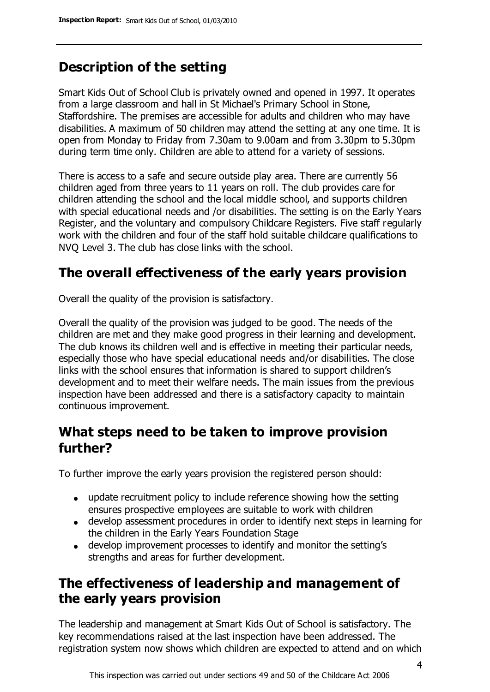# **Description of the setting**

Smart Kids Out of School Club is privately owned and opened in 1997. It operates from a large classroom and hall in St Michael's Primary School in Stone, Staffordshire. The premises are accessible for adults and children who may have disabilities. A maximum of 50 children may attend the setting at any one time. It is open from Monday to Friday from 7.30am to 9.00am and from 3.30pm to 5.30pm during term time only. Children are able to attend for a variety of sessions.

There is access to a safe and secure outside play area. There are currently 56 children aged from three years to 11 years on roll. The club provides care for children attending the school and the local middle school, and supports children with special educational needs and /or disabilities. The setting is on the Early Years Register, and the voluntary and compulsory Childcare Registers. Five staff regularly work with the children and four of the staff hold suitable childcare qualifications to NVQ Level 3. The club has close links with the school.

### **The overall effectiveness of the early years provision**

Overall the quality of the provision is satisfactory.

Overall the quality of the provision was judged to be good. The needs of the children are met and they make good progress in their learning and development. The club knows its children well and is effective in meeting their particular needs, especially those who have special educational needs and/or disabilities. The close links with the school ensures that information is shared to support children's development and to meet their welfare needs. The main issues from the previous inspection have been addressed and there is a satisfactory capacity to maintain continuous improvement.

## **What steps need to be taken to improve provision further?**

To further improve the early years provision the registered person should:

- update recruitment policy to include reference showing how the setting ensures prospective employees are suitable to work with children
- develop assessment procedures in order to identify next steps in learning for the children in the Early Years Foundation Stage
- develop improvement processes to identify and monitor the setting's strengths and areas for further development.

## **The effectiveness of leadership and management of the early years provision**

The leadership and management at Smart Kids Out of School is satisfactory. The key recommendations raised at the last inspection have been addressed. The registration system now shows which children are expected to attend and on which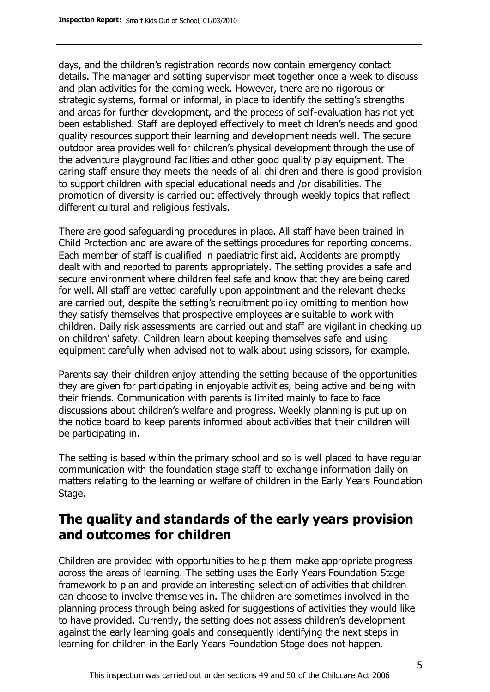days, and the children's registration records now contain emergency contact details. The manager and setting supervisor meet together once a week to discuss and plan activities for the coming week. However, there are no rigorous or strategic systems, formal or informal, in place to identify the setting's strengths and areas for further development, and the process of self-evaluation has not yet been established. Staff are deployed effectively to meet children's needs and good quality resources support their learning and development needs well. The secure outdoor area provides well for children's physical development through the use of the adventure playground facilities and other good quality play equipment. The caring staff ensure they meets the needs of all children and there is good provision to support children with special educational needs and /or disabilities. The promotion of diversity is carried out effectively through weekly topics that reflect different cultural and religious festivals.

There are good safeguarding procedures in place. All staff have been trained in Child Protection and are aware of the settings procedures for reporting concerns. Each member of staff is qualified in paediatric first aid. Accidents are promptly dealt with and reported to parents appropriately. The setting provides a safe and secure environment where children feel safe and know that they are being cared for well. All staff are vetted carefully upon appointment and the relevant checks are carried out, despite the setting's recruitment policy omitting to mention how they satisfy themselves that prospective employees are suitable to work with children. Daily risk assessments are carried out and staff are vigilant in checking up on children' safety. Children learn about keeping themselves safe and using equipment carefully when advised not to walk about using scissors, for example.

Parents say their children enjoy attending the setting because of the opportunities they are given for participating in enjoyable activities, being active and being with their friends. Communication with parents is limited mainly to face to face discussions about children's welfare and progress. Weekly planning is put up on the notice board to keep parents informed about activities that their children will be participating in.

The setting is based within the primary school and so is well placed to have regular communication with the foundation stage staff to exchange information daily on matters relating to the learning or welfare of children in the Early Years Foundation Stage.

## **The quality and standards of the early years provision and outcomes for children**

Children are provided with opportunities to help them make appropriate progress across the areas of learning. The setting uses the Early Years Foundation Stage framework to plan and provide an interesting selection of activities that children can choose to involve themselves in. The children are sometimes involved in the planning process through being asked for suggestions of activities they would like to have provided. Currently, the setting does not assess children's development against the early learning goals and consequently identifying the next steps in learning for children in the Early Years Foundation Stage does not happen.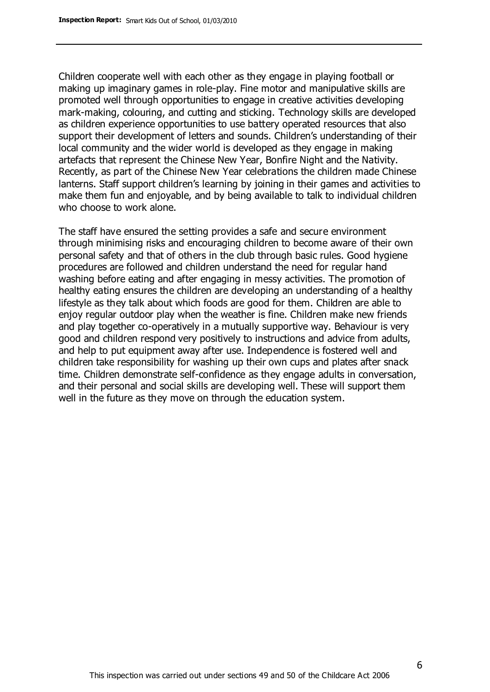Children cooperate well with each other as they engage in playing football or making up imaginary games in role-play. Fine motor and manipulative skills are promoted well through opportunities to engage in creative activities developing mark-making, colouring, and cutting and sticking. Technology skills are developed as children experience opportunities to use battery operated resources that also support their development of letters and sounds. Children's understanding of their local community and the wider world is developed as they engage in making artefacts that represent the Chinese New Year, Bonfire Night and the Nativity. Recently, as part of the Chinese New Year celebrations the children made Chinese lanterns. Staff support children's learning by joining in their games and activities to make them fun and enjoyable, and by being available to talk to individual children who choose to work alone.

The staff have ensured the setting provides a safe and secure environment through minimising risks and encouraging children to become aware of their own personal safety and that of others in the club through basic rules. Good hygiene procedures are followed and children understand the need for regular hand washing before eating and after engaging in messy activities. The promotion of healthy eating ensures the children are developing an understanding of a healthy lifestyle as they talk about which foods are good for them. Children are able to enjoy regular outdoor play when the weather is fine. Children make new friends and play together co-operatively in a mutually supportive way. Behaviour is very good and children respond very positively to instructions and advice from adults, and help to put equipment away after use. Independence is fostered well and children take responsibility for washing up their own cups and plates after snack time. Children demonstrate self-confidence as they engage adults in conversation, and their personal and social skills are developing well. These will support them well in the future as they move on through the education system.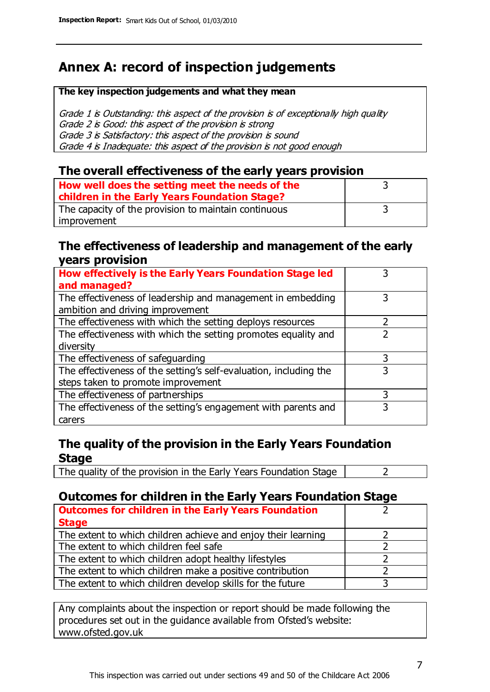# **Annex A: record of inspection judgements**

#### **The key inspection judgements and what they mean**

Grade 1 is Outstanding: this aspect of the provision is of exceptionally high quality Grade 2 is Good: this aspect of the provision is strong Grade 3 is Satisfactory: this aspect of the provision is sound Grade 4 is Inadequate: this aspect of the provision is not good enough

#### **The overall effectiveness of the early years provision**

| How well does the setting meet the needs of the<br>children in the Early Years Foundation Stage? |  |
|--------------------------------------------------------------------------------------------------|--|
| The capacity of the provision to maintain continuous                                             |  |
| improvement                                                                                      |  |

#### **The effectiveness of leadership and management of the early years provision**

| How effectively is the Early Years Foundation Stage led           |   |
|-------------------------------------------------------------------|---|
| and managed?                                                      |   |
| The effectiveness of leadership and management in embedding       |   |
| ambition and driving improvement                                  |   |
| The effectiveness with which the setting deploys resources        |   |
| The effectiveness with which the setting promotes equality and    |   |
| diversity                                                         |   |
| The effectiveness of safeguarding                                 |   |
| The effectiveness of the setting's self-evaluation, including the | 3 |
| steps taken to promote improvement                                |   |
| The effectiveness of partnerships                                 |   |
| The effectiveness of the setting's engagement with parents and    |   |
| carers                                                            |   |

#### **The quality of the provision in the Early Years Foundation Stage**

The quality of the provision in the Early Years Foundation Stage  $\vert$  2

#### **Outcomes for children in the Early Years Foundation Stage**

| <b>Outcomes for children in the Early Years Foundation</b>    |  |
|---------------------------------------------------------------|--|
| <b>Stage</b>                                                  |  |
| The extent to which children achieve and enjoy their learning |  |
| The extent to which children feel safe                        |  |
| The extent to which children adopt healthy lifestyles         |  |
| The extent to which children make a positive contribution     |  |
| The extent to which children develop skills for the future    |  |

Any complaints about the inspection or report should be made following the procedures set out in the guidance available from Ofsted's website: www.ofsted.gov.uk